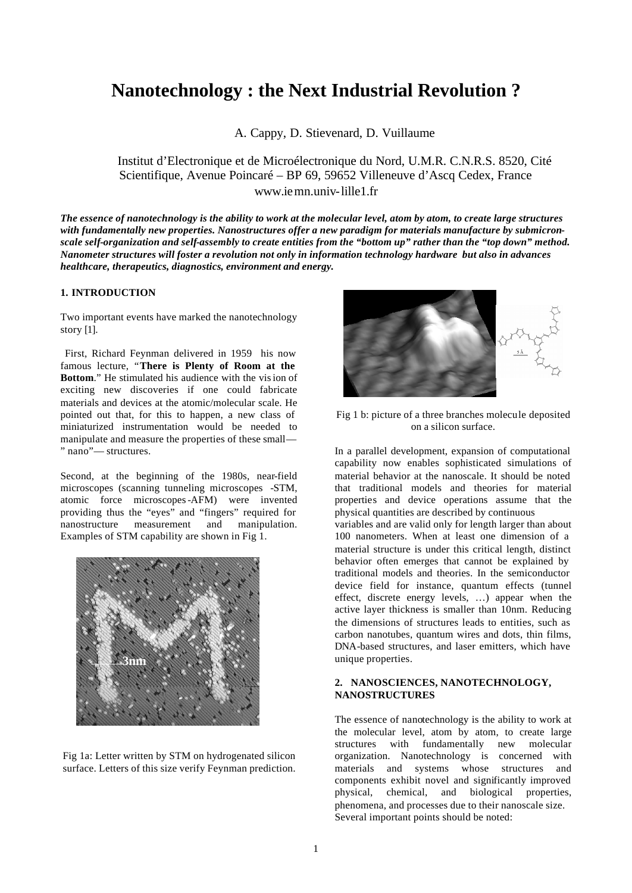# **Nanotechnology : the Next Industrial Revolution ?**

A. Cappy, D. Stievenard, D. Vuillaume

Institut d'Electronique et de Microélectronique du Nord, U.M.R. C.N.R.S. 8520, Cité Scientifique, Avenue Poincaré – BP 69, 59652 Villeneuve d'Ascq Cedex, France www.iemn.univ-lille1.fr

*The essence of nanotechnology is the ability to work at the molecular level, atom by atom, to create large structures with fundamentally new properties. Nanostructures offer a new paradigm for materials manufacture by submicronscale self-organization and self-assembly to create entities from the "bottom up" rather than the "top down" method. Nanometer structures will foster a revolution not only in information technology hardware but also in advances healthcare, therapeutics, diagnostics, environment and energy.*

## **1. INTRODUCTION**

Two important events have marked the nanotechnology story [1].

 First, Richard Feynman delivered in 1959 his now famous lecture, "**There is Plenty of Room at the Bottom.**" He stimulated his audience with the vision of exciting new discoveries if one could fabricate materials and devices at the atomic/molecular scale. He pointed out that, for this to happen, a new class of miniaturized instrumentation would be needed to manipulate and measure the properties of these small— " nano"— structures.

Second, at the beginning of the 1980s, near-field microscopes (scanning tunneling microscopes -STM, atomic force microscopes-AFM) were invented providing thus the "eyes" and "fingers" required for nanostructure measurement and manipulation. Examples of STM capability are shown in Fig 1.



Fig 1a: Letter written by STM on hydrogenated silicon surface. Letters of this size verify Feynman prediction.



Fig 1 b: picture of a three branches molecule deposited on a silicon surface.

In a parallel development, expansion of computational capability now enables sophisticated simulations of material behavior at the nanoscale. It should be noted that traditional models and theories for material properties and device operations assume that the physical quantities are described by continuous

variables and are valid only for length larger than about 100 nanometers. When at least one dimension of a material structure is under this critical length, distinct behavior often emerges that cannot be explained by traditional models and theories. In the semiconductor device field for instance, quantum effects (tunnel effect, discrete energy levels, …) appear when the active layer thickness is smaller than 10nm. Reducing the dimensions of structures leads to entities, such as carbon nanotubes, quantum wires and dots, thin films, DNA-based structures, and laser emitters, which have unique properties.

### **2. NANOSCIENCES, NANOTECHNOLOGY, NANOSTRUCTURES**

The essence of nanotechnology is the ability to work at the molecular level, atom by atom, to create large structures with fundamentally new molecular organization. Nanotechnology is concerned with materials and systems whose structures and components exhibit novel and significantly improved physical, chemical, and biological properties, phenomena, and processes due to their nanoscale size. Several important points should be noted: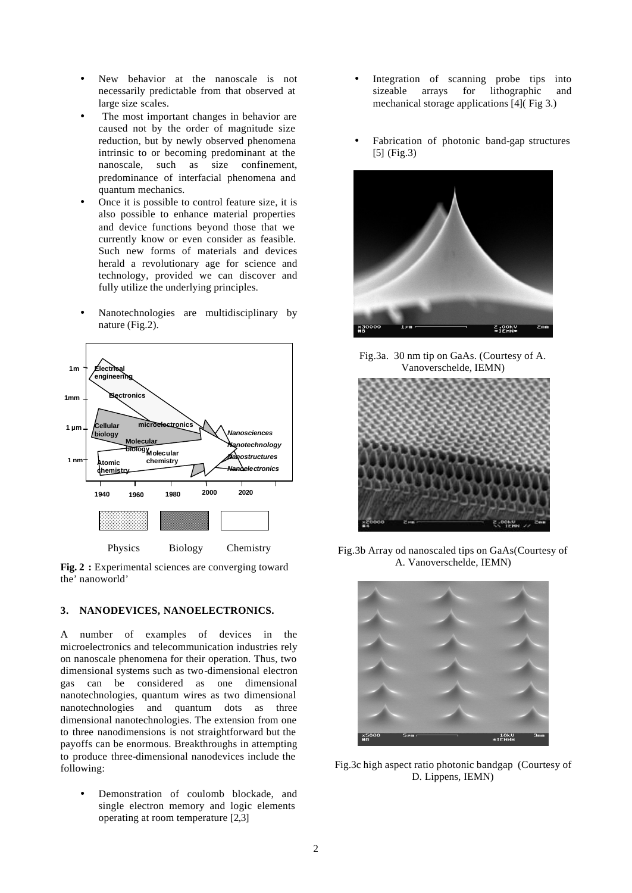- New behavior at the nanoscale is not necessarily predictable from that observed at large size scales.
- The most important changes in behavior are caused not by the order of magnitude size reduction, but by newly observed phenomena intrinsic to or becoming predominant at the nanoscale, such as size confinement, predominance of interfacial phenomena and quantum mechanics.
- Once it is possible to control feature size, it is also possible to enhance material properties and device functions beyond those that we currently know or even consider as feasible. Such new forms of materials and devices herald a revolutionary age for science and technology, provided we can discover and fully utilize the underlying principles.
- Nanotechnologies are multidisciplinary by nature (Fig.2).



**Fig. 2 :** Experimental sciences are converging toward the' nanoworld'

#### **3. NANODEVICES, NANOELECTRONICS.**

A number of examples of devices in the microelectronics and telecommunication industries rely on nanoscale phenomena for their operation. Thus, two dimensional systems such as two-dimensional electron gas can be considered as one dimensional nanotechnologies, quantum wires as two dimensional nanotechnologies and quantum dots as three dimensional nanotechnologies. The extension from one to three nanodimensions is not straightforward but the payoffs can be enormous. Breakthroughs in attempting to produce three-dimensional nanodevices include the following:

• Demonstration of coulomb blockade, and single electron memory and logic elements operating at room temperature [2,3]

- Integration of scanning probe tips into sizeable arrays for lithographic and mechanical storage applications [4]( Fig 3.)
- Fabrication of photonic band-gap structures [5] (Fig.3)



Fig.3a. 30 nm tip on GaAs. (Courtesy of A. Vanoverschelde, IEMN)



Fig.3b Array od nanoscaled tips on GaAs(Courtesy of A. Vanoverschelde, IEMN)



Fig.3c high aspect ratio photonic bandgap (Courtesy of D. Lippens, IEMN)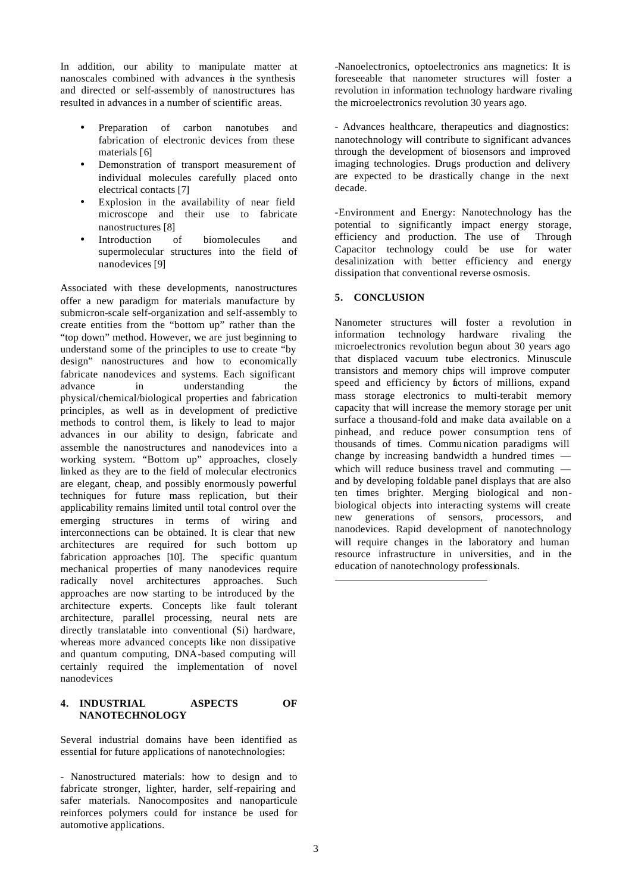In addition, our ability to manipulate matter at nanoscales combined with advances in the synthesis and directed or self-assembly of nanostructures has resulted in advances in a number of scientific areas.

- Preparation of carbon nanotubes and fabrication of electronic devices from these materials [6]
- Demonstration of transport measurement of individual molecules carefully placed onto electrical contacts [7]
- Explosion in the availability of near field microscope and their use to fabricate nanostructures [8]
- Introduction of biomolecules and supermolecular structures into the field of nanodevices [9]

Associated with these developments, nanostructures offer a new paradigm for materials manufacture by submicron-scale self-organization and self-assembly to create entities from the "bottom up" rather than the "top down" method. However, we are just beginning to understand some of the principles to use to create "by design" nanostructures and how to economically fabricate nanodevices and systems. Each significant advance in understanding the physical/chemical/biological properties and fabrication principles, as well as in development of predictive methods to control them, is likely to lead to major advances in our ability to design, fabricate and assemble the nanostructures and nanodevices into a working system. "Bottom up" approaches, closely linked as they are to the field of molecular electronics are elegant, cheap, and possibly enormously powerful techniques for future mass replication, but their applicability remains limited until total control over the emerging structures in terms of wiring and interconnections can be obtained. It is clear that new architectures are required for such bottom up fabrication approaches [10]. The specific quantum mechanical properties of many nanodevices require radically novel architectures approaches. Such approaches are now starting to be introduced by the architecture experts. Concepts like fault tolerant architecture, parallel processing, neural nets are directly translatable into conventional (Si) hardware, whereas more advanced concepts like non dissipative and quantum computing, DNA-based computing will certainly required the implementation of novel nanodevices

#### **4. INDUSTRIAL ASPECTS OF NANOTECHNOLOGY**

Several industrial domains have been identified as essential for future applications of nanotechnologies:

- Nanostructured materials: how to design and to fabricate stronger, lighter, harder, self-repairing and safer materials. Nanocomposites and nanoparticule reinforces polymers could for instance be used for automotive applications.

-Nanoelectronics, optoelectronics ans magnetics: It is foreseeable that nanometer structures will foster a revolution in information technology hardware rivaling the microelectronics revolution 30 years ago.

- Advances healthcare, therapeutics and diagnostics: nanotechnology will contribute to significant advances through the development of biosensors and improved imaging technologies. Drugs production and delivery are expected to be drastically change in the next decade.

-Environment and Energy: Nanotechnology has the potential to significantly impact energy storage, efficiency and production. The use of Through Capacitor technology could be use for water desalinization with better efficiency and energy dissipation that conventional reverse osmosis.

## **5. CONCLUSION**

Nanometer structures will foster a revolution in information technology hardware rivaling the microelectronics revolution begun about 30 years ago that displaced vacuum tube electronics. Minuscule transistors and memory chips will improve computer speed and efficiency by factors of millions, expand mass storage electronics to multi-terabit memory capacity that will increase the memory storage per unit surface a thousand-fold and make data available on a pinhead, and reduce power consumption tens of thousands of times. Commu nication paradigms will change by increasing bandwidth a hundred times which will reduce business travel and commuting and by developing foldable panel displays that are also ten times brighter. Merging biological and nonbiological objects into interacting systems will create new generations of sensors, processors, and nanodevices. Rapid development of nanotechnology will require changes in the laboratory and human resource infrastructure in universities, and in the education of nanotechnology professionals.

l